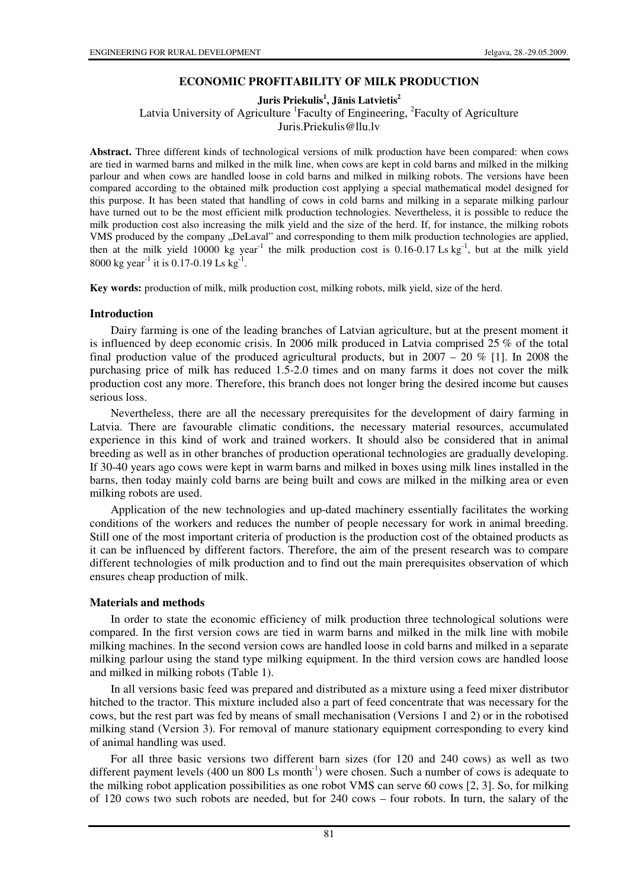# **ECONOMIC PROFITABILITY OF MILK PRODUCTION**

# **Juris Priekulis<sup>1</sup> , J**ā**nis Latvietis<sup>2</sup>**

Latvia University of Agriculture <sup>1</sup> Faculty of Engineering, <sup>2</sup> Faculty of Agriculture

Juris.Priekulis@llu.lv

**Abstract.** Three different kinds of technological versions of milk production have been compared: when cows are tied in warmed barns and milked in the milk line, when cows are kept in cold barns and milked in the milking parlour and when cows are handled loose in cold barns and milked in milking robots. The versions have been compared according to the obtained milk production cost applying a special mathematical model designed for this purpose. It has been stated that handling of cows in cold barns and milking in a separate milking parlour have turned out to be the most efficient milk production technologies. Nevertheless, it is possible to reduce the milk production cost also increasing the milk yield and the size of the herd. If, for instance, the milking robots VMS produced by the company "DeLaval" and corresponding to them milk production technologies are applied, then at the milk yield 10000 kg year<sup>-1</sup> the milk production cost is  $0.16-0.17$  Ls kg<sup>-1</sup>, but at the milk yield 8000 kg year<sup>-1</sup> it is 0.17-0.19 Ls kg<sup>-1</sup>.

**Key words:** production of milk, milk production cost, milking robots, milk yield, size of the herd.

## **Introduction**

Dairy farming is one of the leading branches of Latvian agriculture, but at the present moment it is influenced by deep economic crisis. In 2006 milk produced in Latvia comprised 25 % of the total final production value of the produced agricultural products, but in  $2007 - 20\%$  [1]. In 2008 the purchasing price of milk has reduced 1.5-2.0 times and on many farms it does not cover the milk production cost any more. Therefore, this branch does not longer bring the desired income but causes serious loss.

Nevertheless, there are all the necessary prerequisites for the development of dairy farming in Latvia. There are favourable climatic conditions, the necessary material resources, accumulated experience in this kind of work and trained workers. It should also be considered that in animal breeding as well as in other branches of production operational technologies are gradually developing. If 30-40 years ago cows were kept in warm barns and milked in boxes using milk lines installed in the barns, then today mainly cold barns are being built and cows are milked in the milking area or even milking robots are used.

Application of the new technologies and up-dated machinery essentially facilitates the working conditions of the workers and reduces the number of people necessary for work in animal breeding. Still one of the most important criteria of production is the production cost of the obtained products as it can be influenced by different factors. Therefore, the aim of the present research was to compare different technologies of milk production and to find out the main prerequisites observation of which ensures cheap production of milk.

## **Materials and methods**

In order to state the economic efficiency of milk production three technological solutions were compared. In the first version cows are tied in warm barns and milked in the milk line with mobile milking machines. In the second version cows are handled loose in cold barns and milked in a separate milking parlour using the stand type milking equipment. In the third version cows are handled loose and milked in milking robots (Table 1).

In all versions basic feed was prepared and distributed as a mixture using a feed mixer distributor hitched to the tractor. This mixture included also a part of feed concentrate that was necessary for the cows, but the rest part was fed by means of small mechanisation (Versions 1 and 2) or in the robotised milking stand (Version 3). For removal of manure stationary equipment corresponding to every kind of animal handling was used.

For all three basic versions two different barn sizes (for 120 and 240 cows) as well as two different payment levels (400 un 800 Ls month<sup>-1</sup>) were chosen. Such a number of cows is adequate to the milking robot application possibilities as one robot VMS can serve 60 cows [2, 3]. So, for milking of 120 cows two such robots are needed, but for 240 cows – four robots. In turn, the salary of the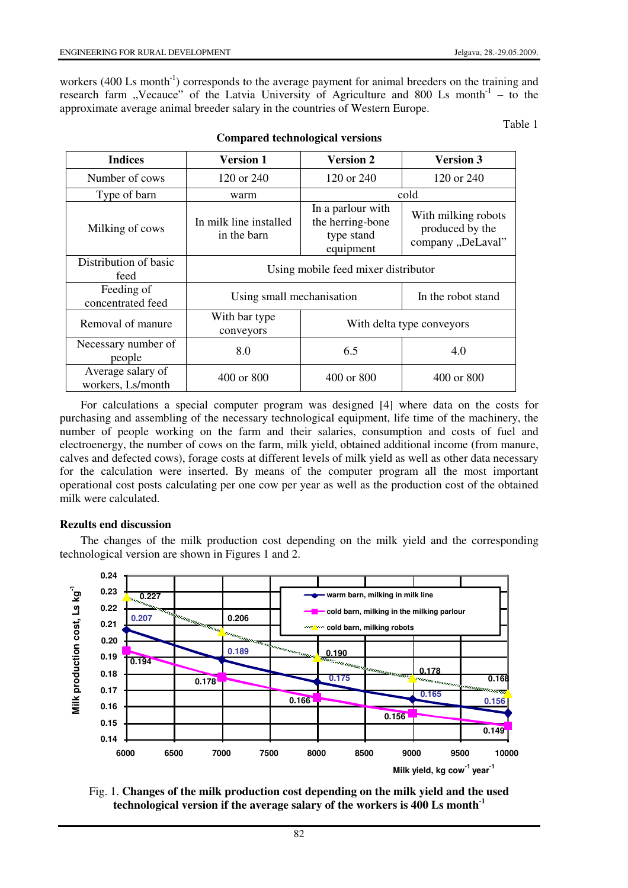workers (400 Ls month<sup>-1</sup>) corresponds to the average payment for animal breeders on the training and research farm "Vecauce" of the Latvia University of Agriculture and 800 Ls month<sup>-1</sup> – to the approximate average animal breeder salary in the countries of Western Europe.

Table 1

| <b>Indices</b>                         | <b>Version 1</b>                      | <b>Version 2</b>                                                 | <b>Version 3</b>                                            |
|----------------------------------------|---------------------------------------|------------------------------------------------------------------|-------------------------------------------------------------|
| Number of cows                         | 120 or $240$                          | 120 or $240$                                                     | 120 or $240$                                                |
| Type of barn                           | warm                                  | cold                                                             |                                                             |
| Milking of cows                        | In milk line installed<br>in the barn | In a parlour with<br>the herring-bone<br>type stand<br>equipment | With milking robots<br>produced by the<br>company "DeLaval" |
| Distribution of basic<br>feed          | Using mobile feed mixer distributor   |                                                                  |                                                             |
| Feeding of<br>concentrated feed        | Using small mechanisation             |                                                                  | In the robot stand                                          |
| Removal of manure                      | With bar type<br>conveyors            | With delta type conveyors                                        |                                                             |
| Necessary number of<br>people          | 8.0                                   | 6.5                                                              | 4.0                                                         |
| Average salary of<br>workers, Ls/month | $400 \text{ or } 800$                 | 400 or 800                                                       | 400 or 800                                                  |

**Compared technological versions** 

For calculations a special computer program was designed [4] where data on the costs for purchasing and assembling of the necessary technological equipment, life time of the machinery, the number of people working on the farm and their salaries, consumption and costs of fuel and electroenergy, the number of cows on the farm, milk yield, obtained additional income (from manure, calves and defected cows), forage costs at different levels of milk yield as well as other data necessary for the calculation were inserted. By means of the computer program all the most important operational cost posts calculating per one cow per year as well as the production cost of the obtained milk were calculated.

## **Rezults end discussion**

The changes of the milk production cost depending on the milk yield and the corresponding technological version are shown in Figures 1 and 2.



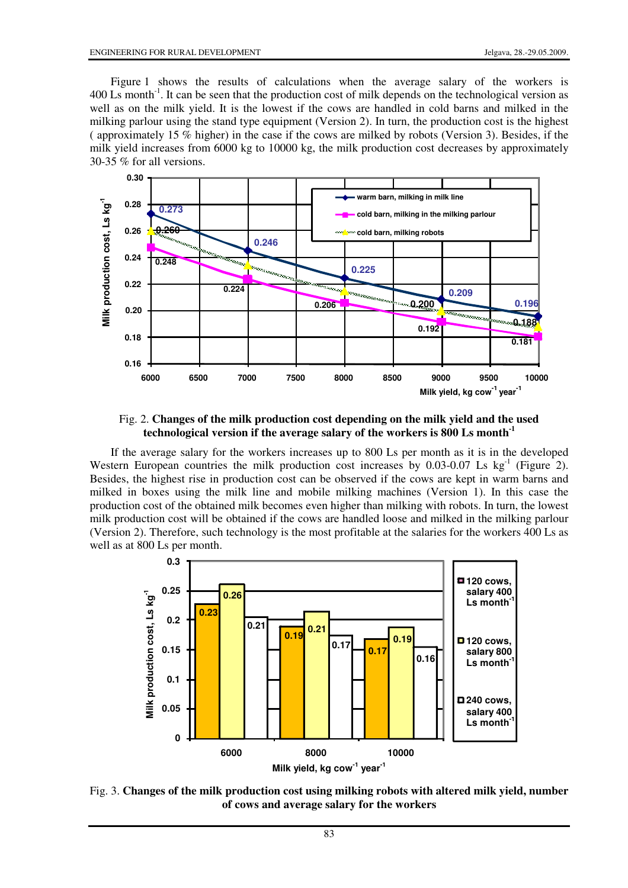Figure 1 shows the results of calculations when the average salary of the workers is 400 Ls month-1. It can be seen that the production cost of milk depends on the technological version as well as on the milk yield. It is the lowest if the cows are handled in cold barns and milked in the milking parlour using the stand type equipment (Version 2). In turn, the production cost is the highest ( approximately 15 % higher) in the case if the cows are milked by robots (Version 3). Besides, if the milk yield increases from 6000 kg to 10000 kg, the milk production cost decreases by approximately 30-35 % for all versions.



Fig. 2. **Changes of the milk production cost depending on the milk yield and the used technological version if the average salary of the workers is 800 Ls month-1**

If the average salary for the workers increases up to 800 Ls per month as it is in the developed Western European countries the milk production cost increases by  $0.03{\text -}0.07$  Ls kg<sup>-1</sup> (Figure 2). Besides, the highest rise in production cost can be observed if the cows are kept in warm barns and milked in boxes using the milk line and mobile milking machines (Version 1). In this case the production cost of the obtained milk becomes even higher than milking with robots. In turn, the lowest milk production cost will be obtained if the cows are handled loose and milked in the milking parlour (Version 2). Therefore, such technology is the most profitable at the salaries for the workers 400 Ls as well as at 800 Ls per month.



Fig. 3. **Changes of the milk production cost using milking robots with altered milk yield, number of cows and average salary for the workers**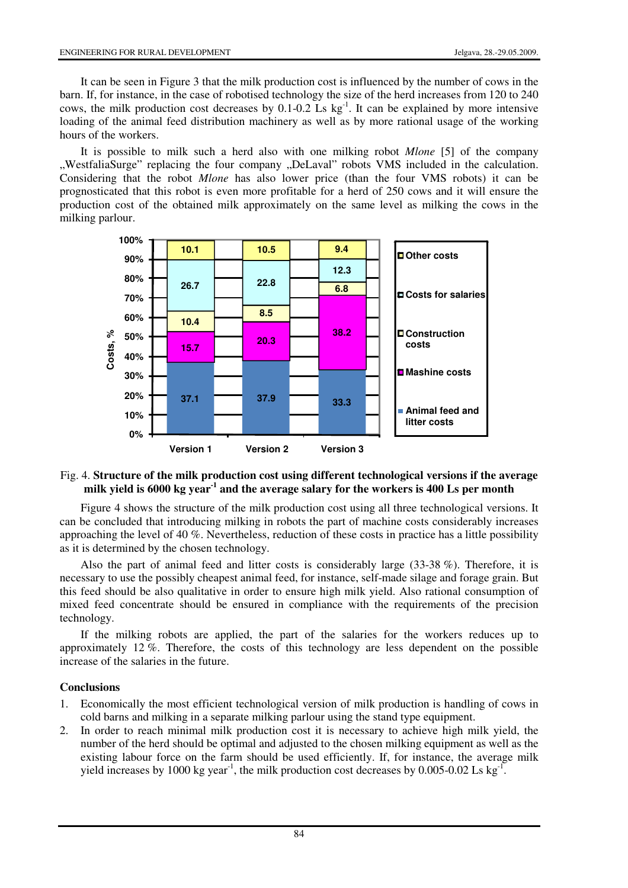It can be seen in Figure 3 that the milk production cost is influenced by the number of cows in the barn. If, for instance, in the case of robotised technology the size of the herd increases from 120 to 240 cows, the milk production cost decreases by 0.1-0.2 Ls kg-1. It can be explained by more intensive loading of the animal feed distribution machinery as well as by more rational usage of the working hours of the workers.

It is possible to milk such a herd also with one milking robot *Mlone* [5] of the company "WestfaliaSurge" replacing the four company "DeLaval" robots VMS included in the calculation. Considering that the robot *Mlone* has also lower price (than the four VMS robots) it can be prognosticated that this robot is even more profitable for a herd of 250 cows and it will ensure the production cost of the obtained milk approximately on the same level as milking the cows in the milking parlour.



#### Fig. 4. **Structure of the milk production cost using different technological versions if the average milk yield is 6000 kg year-1 and the average salary for the workers is 400 Ls per month**

Figure 4 shows the structure of the milk production cost using all three technological versions. It can be concluded that introducing milking in robots the part of machine costs considerably increases approaching the level of 40 %. Nevertheless, reduction of these costs in practice has a little possibility as it is determined by the chosen technology.

Also the part of animal feed and litter costs is considerably large (33-38 %). Therefore, it is necessary to use the possibly cheapest animal feed, for instance, self-made silage and forage grain. But this feed should be also qualitative in order to ensure high milk yield. Also rational consumption of mixed feed concentrate should be ensured in compliance with the requirements of the precision technology.

If the milking robots are applied, the part of the salaries for the workers reduces up to approximately 12 %. Therefore, the costs of this technology are less dependent on the possible increase of the salaries in the future.

#### **Conclusions**

- 1. Economically the most efficient technological version of milk production is handling of cows in cold barns and milking in a separate milking parlour using the stand type equipment.
- 2. In order to reach minimal milk production cost it is necessary to achieve high milk yield, the number of the herd should be optimal and adjusted to the chosen milking equipment as well as the existing labour force on the farm should be used efficiently. If, for instance, the average milk yield increases by 1000 kg year<sup>-1</sup>, the milk production cost decreases by 0.005-0.02 Ls kg<sup>-1</sup>.